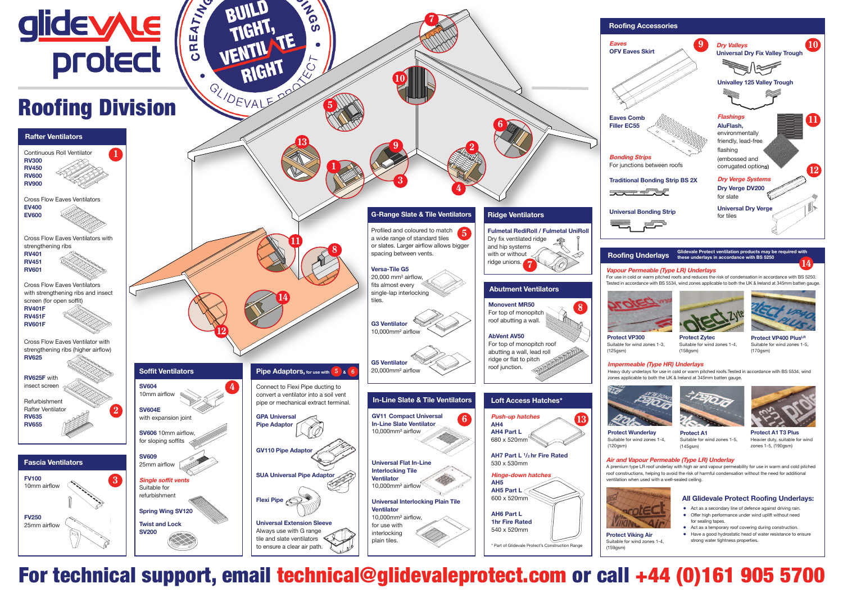

# Roofing Division

Suitable for wind zones 1-4,  $(158$ gsm





**Protect A1** Suitable for wind zones 1-5,  $(145$ gsm $)$ 

**5**

**TAN** 

BUILD

TIGHT,

VENTIL TE

RIGHT

**7**

**10**

**Protect VP400 PlusLR** Suitable for wind zones 1-5, (170gsm)



**Protect Wunderlay** Suitable for wind zones 1-4,

Suitable for wind zones 1-3,



#### **Impermeable (Type HR) Underlays**

Heavy duty underlays for use in cold or warm pitched roofs.Tested in accordance with BS 5534, wind zones applicable to both the UK & Ireland at 345mm batten gauge.

## For technical support, email technical@glidevaleprotect.com or call +44 (0)161 905 5700

#### **Vapour Permeable (Type LR) Underlays**

For use in cold or warm pitched roofs and reduces the risk of condensation in accordance with BS 5250. Tested in accordance with BS 5534, wind zones applicable to both the UK & Ireland at 345mm batten gauge.







- **●** Act as a secondary line of defence against driving rain. **●** Offer high performance under wind uplift without need
- for sealing tapes. **●** Act as a temporary roof covering during construction.
- **●** Have a good hydrostatic head of water resistance to ensure strong water tightness properties.



**Eaves**



**Protect A1 T3 Plus** Heavier duty, suitable for wind zones 1-5, (190gsm)



Suitable for wind zones 1-4,

**Glidevale Protect ventilation products may be required with these underlays in accordance with BS 5250**

## **Air and Vapour Permeable (Type LR) Underlay**

A premium type LR roof underlay with high air and vapour permeability for use in warm and cold pitched roof constructions, helping to avoid the risk of harmful condensation without the need for additional ventilation when used with a well-sealed ceiling.

**14**

#### **All Glidevale Protect Roofing Underlays:**